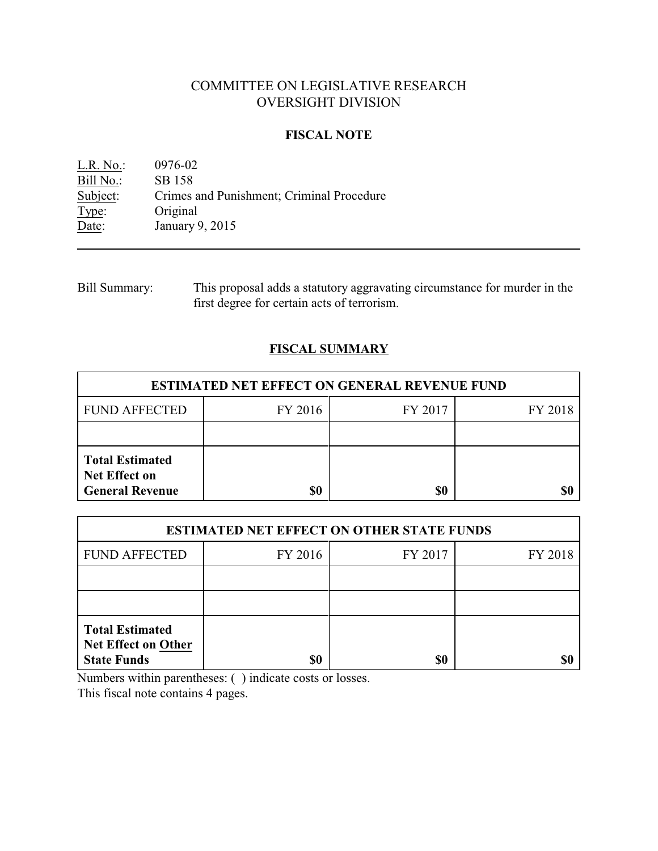# COMMITTEE ON LEGISLATIVE RESEARCH OVERSIGHT DIVISION

#### **FISCAL NOTE**

L.R. No.: 0976-02 Bill No.: SB 158<br>Subject: Crimes Subject: Crimes and Punishment; Criminal Procedure<br>
Type: Original Type: Original<br>Date: January January 9, 2015

| Bill Summary: | This proposal adds a statutory aggravating circumstance for murder in the |
|---------------|---------------------------------------------------------------------------|
|               | first degree for certain acts of terrorism.                               |

## **FISCAL SUMMARY**

| <b>ESTIMATED NET EFFECT ON GENERAL REVENUE FUND</b>                      |         |         |         |  |
|--------------------------------------------------------------------------|---------|---------|---------|--|
| <b>FUND AFFECTED</b>                                                     | FY 2016 | FY 2017 | FY 2018 |  |
|                                                                          |         |         |         |  |
| <b>Total Estimated</b><br><b>Net Effect on</b><br><b>General Revenue</b> | \$0     | \$0     | S(      |  |

| <b>ESTIMATED NET EFFECT ON OTHER STATE FUNDS</b>                    |         |         |         |  |
|---------------------------------------------------------------------|---------|---------|---------|--|
| <b>FUND AFFECTED</b>                                                | FY 2016 | FY 2017 | FY 2018 |  |
|                                                                     |         |         |         |  |
|                                                                     |         |         |         |  |
| <b>Total Estimated</b><br>Net Effect on Other<br><b>State Funds</b> |         | \$0     |         |  |

Numbers within parentheses: ( ) indicate costs or losses.

This fiscal note contains 4 pages.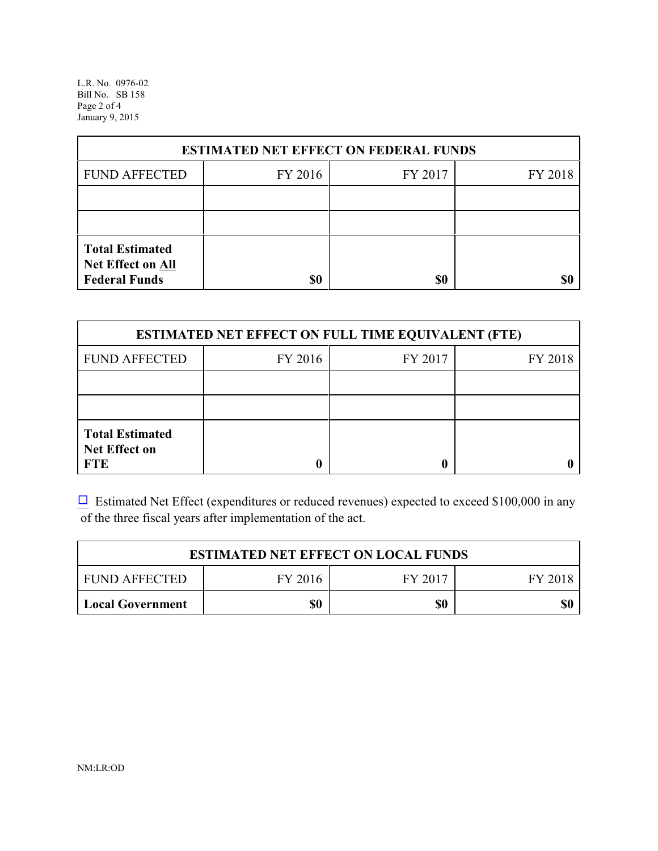L.R. No. 0976-02 Bill No. SB 158 Page 2 of 4 January 9, 2015

| <b>ESTIMATED NET EFFECT ON FEDERAL FUNDS</b>                        |         |         |         |  |
|---------------------------------------------------------------------|---------|---------|---------|--|
| <b>FUND AFFECTED</b>                                                | FY 2016 | FY 2017 | FY 2018 |  |
|                                                                     |         |         |         |  |
|                                                                     |         |         |         |  |
| <b>Total Estimated</b><br>Net Effect on All<br><b>Federal Funds</b> | \$0     | \$0     |         |  |

| <b>ESTIMATED NET EFFECT ON FULL TIME EQUIVALENT (FTE)</b>    |         |         |         |  |
|--------------------------------------------------------------|---------|---------|---------|--|
| <b>FUND AFFECTED</b>                                         | FY 2016 | FY 2017 | FY 2018 |  |
|                                                              |         |         |         |  |
|                                                              |         |         |         |  |
| <b>Total Estimated</b><br><b>Net Effect on</b><br><b>FTE</b> |         |         |         |  |

 $\Box$  Estimated Net Effect (expenditures or reduced revenues) expected to exceed \$100,000 in any of the three fiscal years after implementation of the act.

| <b>ESTIMATED NET EFFECT ON LOCAL FUNDS</b> |         |         |         |  |
|--------------------------------------------|---------|---------|---------|--|
| <b>FUND AFFECTED</b>                       | FY 2016 | FY 2017 | FY 2018 |  |
| Local Government                           | \$0     | \$0     | \$0     |  |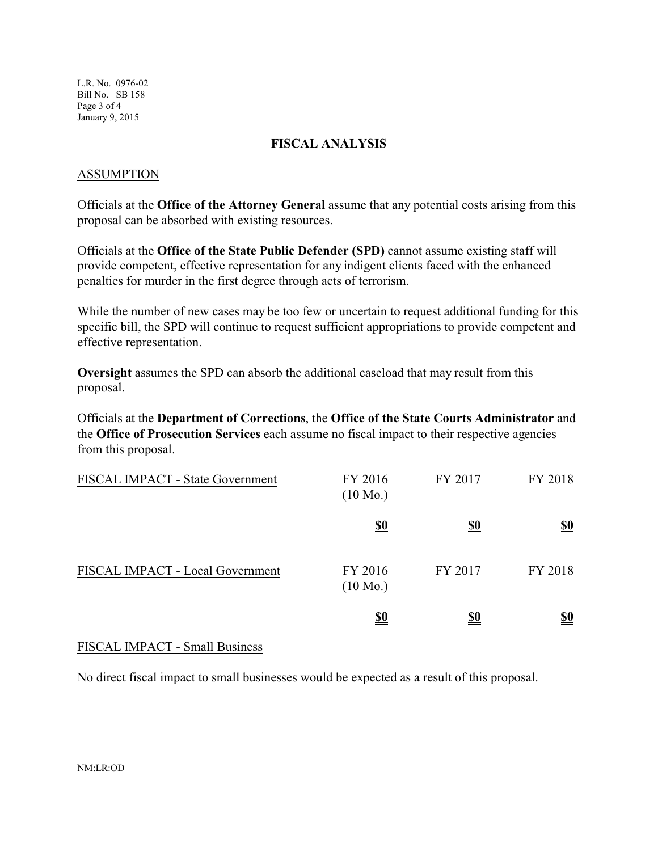L.R. No. 0976-02 Bill No. SB 158 Page 3 of 4 January 9, 2015

### **FISCAL ANALYSIS**

### ASSUMPTION

Officials at the **Office of the Attorney General** assume that any potential costs arising from this proposal can be absorbed with existing resources.

Officials at the **Office of the State Public Defender (SPD)** cannot assume existing staff will provide competent, effective representation for any indigent clients faced with the enhanced penalties for murder in the first degree through acts of terrorism.

While the number of new cases may be too few or uncertain to request additional funding for this specific bill, the SPD will continue to request sufficient appropriations to provide competent and effective representation.

**Oversight** assumes the SPD can absorb the additional caseload that may result from this proposal.

Officials at the **Department of Corrections**, the **Office of the State Courts Administrator** and the **Office of Prosecution Services** each assume no fiscal impact to their respective agencies from this proposal.

| FISCAL IMPACT - State Government | FY 2016<br>$(10 \text{ Mo.})$ | FY 2017    | FY 2018                       |
|----------------------------------|-------------------------------|------------|-------------------------------|
|                                  | <u>\$0</u>                    | <u>\$0</u> | <u>\$0</u>                    |
| FISCAL IMPACT - Local Government | FY 2016<br>$(10 \text{ Mo.})$ | FY 2017    | FY 2018                       |
|                                  | <u>\$0</u>                    | <u>\$0</u> | $\underline{\underline{\$0}}$ |

## FISCAL IMPACT - Small Business

No direct fiscal impact to small businesses would be expected as a result of this proposal.